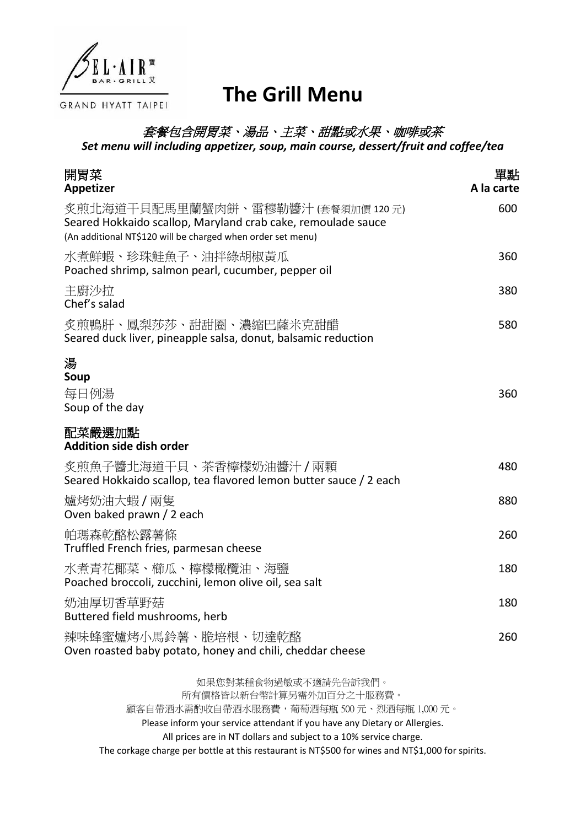

## **The Grill Menu**

## 套餐包含開胃菜、湯品、主菜、甜點或水果、咖啡或茶

*Set menu will including appetizer, soup, main course, dessert/fruit and coffee/tea*

| 開胃菜<br>Appetizer                                                                                                                                                  | 單點<br>A la carte |
|-------------------------------------------------------------------------------------------------------------------------------------------------------------------|------------------|
| 炙煎北海道干貝配馬里蘭蟹肉餅、雷穆勒醬汁 (套餐須加價 120 元)<br>Seared Hokkaido scallop, Maryland crab cake, remoulade sauce<br>(An additional NT\$120 will be charged when order set menu) | 600              |
| 水煮鮮蝦、珍珠鮭魚子、油拌綠胡椒黃瓜<br>Poached shrimp, salmon pearl, cucumber, pepper oil                                                                                          | 360              |
| 主廚沙拉<br>Chef's salad                                                                                                                                              | 380              |
| 炙煎鴨肝、鳳梨莎莎、甜甜圈、濃縮巴薩米克甜醋<br>Seared duck liver, pineapple salsa, donut, balsamic reduction                                                                           | 580              |
| 湯<br>Soup<br>每日例湯<br>Soup of the day                                                                                                                              | 360              |
| 配菜嚴選加點<br><b>Addition side dish order</b>                                                                                                                         |                  |
| 炙煎魚子醬北海道干貝、茶香檸檬奶油醬汁/兩顆<br>Seared Hokkaido scallop, tea flavored lemon butter sauce / 2 each                                                                       | 480              |
| 爐烤奶油大蝦 / 兩隻<br>Oven baked prawn / 2 each                                                                                                                          | 880              |
| 帕瑪森乾酪松露薯條<br>Truffled French fries, parmesan cheese                                                                                                               | 260              |
| 水煮青花椰菜、櫛瓜、檸檬橄欖油、海鹽<br>Poached broccoli, zucchini, lemon olive oil, sea salt                                                                                       | 180              |
| 奶油厚切香草野菇<br>Buttered field mushrooms, herb                                                                                                                        | 180              |
| 辣味蜂蜜爐烤小馬鈴薯、脆培根、切達乾酪<br>Oven roasted baby potato, honey and chili, cheddar cheese                                                                                  | 260              |
| 如果您對某種食物過敏或不適請先告訴我們。                                                                                                                                              |                  |

所有價格皆以新台幣計算另需外加百分之十服務費。 顧客自帶酒水需酌收自帶酒水服務費,葡萄酒每瓶 500 元、烈酒每瓶 1,000 元。 Please inform your service attendant if you have any Dietary or Allergies. All prices are in NT dollars and subject to a 10% service charge. The corkage charge per bottle at this restaurant is NT\$500 for wines and NT\$1,000 for spirits.